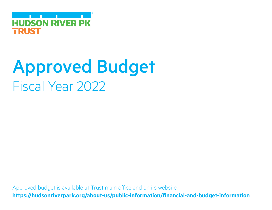**Contract Contract Contract HUDSON RIVER PK** TRUST

# Approved Budget Fiscal Year 2022

Approved budget is available at Trust main office and on its website **https://hudsonriverpark.org/about-us/public-information/financial-and-budget-information**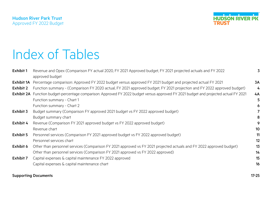

# Index of Tables

| Exhibit 1  | Revenue and Opex (Comparison FY actual 2020, FY 2021 Approved budget, FY 2021 projected actuals and FY 2022<br>approved budget        | 3                |
|------------|---------------------------------------------------------------------------------------------------------------------------------------|------------------|
| Exhibit 1A | Percentage comparison: Approved FY 2022 budget versus approved FY 2021 budget and projected actual FY 2021                            | 3A               |
| Exhibit 2  | Function summary - (Comparison FY 2020 actual, FY 2021 approved budget, FY 2021 projection and FY 2022 approved budget)               | 4                |
|            | Exhibit 2A Function budget-percentage comparison: Approved FY 2022 budget versus approved FY 2021 budget and projected actual FY 2021 | 4A               |
|            | Function summary - Chart 1                                                                                                            | 5                |
|            | Function summary - Chart 2                                                                                                            | 6                |
| Exhibit 3  | Budget summary (Comparison FY approved 2021 budget vs FY 2022 approved budget)                                                        |                  |
|            | Budget summary chart                                                                                                                  | 8                |
| Exhibit 4  | Revenue (Comparison FY 2021 approved budget vs FY 2022 approved budget)                                                               | 9                |
|            | Revenue chart                                                                                                                         | 10 <sub>10</sub> |
| Exhibit 5  | Personnel services (Comparison FY 2021 approved budget vs FY 2022 approved budget)                                                    | 11               |
|            | Personnel services chart                                                                                                              | 12               |
| Exhibit 6  | Other than personnel services (Comparison FY 2021 approved vs FY 2021 projected actuals and FY 2022 approved budget)                  | 13               |
|            | Other than personnel services (Comparison FY 2021 approved vs FY 2022 approved)                                                       | 14               |
| Exhibit 7  | Capital expenses & capital maintenance FY 2022 approved                                                                               | 15               |
|            | Capital expenses & capital maintenance chart                                                                                          | 16               |
|            | <b>Supporting Documents</b>                                                                                                           | $17 - 25$        |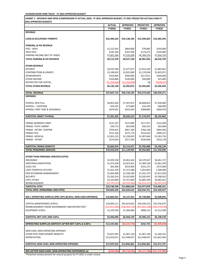| EXHIBIT 1 - REVENUE AND OPEX (COMPARISON FY ACTUAL 2020, FY 2021 APPROVED BUDGET, FY 2021 PROJECTED ACTUALS AND FY<br>2022 APPROVED BUDGET) |                            |                            |                        |                          |  |  |  |  |
|---------------------------------------------------------------------------------------------------------------------------------------------|----------------------------|----------------------------|------------------------|--------------------------|--|--|--|--|
|                                                                                                                                             | <b>ACTUAL</b>              | <b>APPROVED</b>            | <b>PROJECTED</b>       | <b>APPROVED</b>          |  |  |  |  |
|                                                                                                                                             | <b>FY2020</b>              | FY2021                     | FY2021                 | FY2022                   |  |  |  |  |
| <b>REVENUE</b>                                                                                                                              |                            |                            |                        |                          |  |  |  |  |
| <b>LEASE &amp; OCCUPANCY PERMITS</b>                                                                                                        | \$22,369,242               | \$19,138,196               | \$15,299,603           | \$16,385,595             |  |  |  |  |
| <b>PARKING, &amp; FEE REVENUE</b>                                                                                                           |                            |                            |                        |                          |  |  |  |  |
| FEES - GEN'L                                                                                                                                | \$1,215,562                | \$804,000                  | \$78,085               | \$350,000                |  |  |  |  |
| <b>FIELD FEES</b>                                                                                                                           | \$235,350                  | \$187,500                  | \$119,275              | \$220,000                |  |  |  |  |
| PARKING INCOME (NET OF TAXES)                                                                                                               | \$7,661,366                | \$7,535,628                | \$6,784,576            | \$7,656,750              |  |  |  |  |
| <b>TOTAL PARKING &amp; FEE REVENUE</b>                                                                                                      | \$9,112,278                | \$8,527,128                | \$6,981,936            | \$8,226,750              |  |  |  |  |
| <b>OTHER REVENUE</b><br><b>INTEREST</b>                                                                                                     | \$4,597,560                | \$1,477,872                | \$1,914,244            | \$1,885,462              |  |  |  |  |
| <b>CONTRIBUTIONS &amp; GRANTS</b>                                                                                                           | \$2,189,819                | \$1,825,000                | \$1,170,036            | \$1,825,071              |  |  |  |  |
| <b>SPONSORSHIPS</b>                                                                                                                         | \$432,005                  | \$300,000                  | \$217,811              | \$200,000                |  |  |  |  |
| OTHER INCOME                                                                                                                                | \$256,806                  | \$140,000                  | \$90,000               | \$25,000                 |  |  |  |  |
| RESTRICTED FOR CAPITAL                                                                                                                      | ( \$1,350,000 ]            | (\$1,250,000)              | \$0                    | ( \$508, 607)            |  |  |  |  |
| <b>TOTAL OTHER REVENUE</b>                                                                                                                  | \$6,126,190                | \$2,492,872                | \$3,392,091            | \$3,426,926              |  |  |  |  |
| <b>TOTAL REVENUE</b>                                                                                                                        | \$37,607,710               |                            |                        |                          |  |  |  |  |
| <b>EXPENSES</b>                                                                                                                             |                            | \$30,158,196               | \$25,673,630           | \$28,039,271             |  |  |  |  |
|                                                                                                                                             |                            |                            |                        |                          |  |  |  |  |
| <b>PAYROLL REG-FULL</b>                                                                                                                     | \$6,853,420                | \$7,397,873                | \$6,848,853            | \$7,430,984              |  |  |  |  |
| PAYROLL - OVERTIME                                                                                                                          | \$59,291                   | \$73,000                   | \$16,339               | \$68,000                 |  |  |  |  |
| PAYROLL PART TIME & SEASONALS                                                                                                               | \$478,491                  | \$555,650                  | \$308,883              | \$604,978                |  |  |  |  |
|                                                                                                                                             |                            |                            |                        |                          |  |  |  |  |
| SUBTOTAL DIRECT PAYROLL                                                                                                                     | \$7,391,202                | \$8,026,523                | \$7,174,075            | \$8,103,962              |  |  |  |  |
| FRINGE-WORKERS COMP.                                                                                                                        | \$131,767                  | \$131,989                  | \$117,971              | \$131,690                |  |  |  |  |
| FRINGE- STATE UNEMP.                                                                                                                        | \$39,712                   | \$63,048                   | \$56,352               | \$63,668                 |  |  |  |  |
| FRINGE - RETIRE. CONTRIB.                                                                                                                   | \$703,655                  | \$857,184                  | \$766,148              | \$844,306                |  |  |  |  |
| <b>FRINGE-FICA</b>                                                                                                                          | \$515,256                  | \$575,774                  | \$514,625              | \$589,537                |  |  |  |  |
| FRINGE- MEDICAL                                                                                                                             | \$1,001,235                | \$1,228,092                | \$1,097,664            | \$1,262,756              |  |  |  |  |
| <b>FRINGE - OTHER</b>                                                                                                                       | \$274,050                  | \$257,383                  | \$230,048              | \$254,178                |  |  |  |  |
| SUBTOTAL FRINGE BENEFITS                                                                                                                    | \$2,665,676                | \$3,113,471                | \$2,782,808            | \$3,146,134              |  |  |  |  |
| <b>TOTAL PERSONNEL SERVICES</b>                                                                                                             | \$10,056,878               | \$11,139,994               | \$9,956,883            | \$11,250,096             |  |  |  |  |
|                                                                                                                                             |                            |                            |                        |                          |  |  |  |  |
| OTHER THAN PERSONAL SERVICES (OTPS)                                                                                                         |                            |                            |                        |                          |  |  |  |  |
| <b>INSURANCE</b>                                                                                                                            | \$3,929,558                | \$4,363,244                | \$4,579,567            | \$6,461,727              |  |  |  |  |
| JANITORIAL/SANITATION                                                                                                                       | \$1,471,638                | \$2,023,261                | \$1,584,158            | \$1,861,439              |  |  |  |  |
| <b>LEGAL FEE</b>                                                                                                                            | \$65,584                   | \$555,000                  | \$241,272<br>1.454.803 | \$375,000                |  |  |  |  |
| <b>LIGHT POWER &amp; UTILITIES</b><br>PIER 40 PARKING MANAGEMENT                                                                            | \$1,561,339<br>\$1,850,698 | \$1,727,288<br>\$1,558,189 | \$1,341,375            | 1,500,000<br>\$1,812,928 |  |  |  |  |
| <b>SECURITY</b>                                                                                                                             | \$3,281,016                | \$3,425,000                | \$3,205,455            | \$3,788,562              |  |  |  |  |
| OTPS, OTHER                                                                                                                                 | \$2,335,960                | \$5,757,960                | \$2,885,599            | \$4,682,622              |  |  |  |  |
| REIMBURSEMENT                                                                                                                               | ( \$3,747,013)             | (54, 529, 304)             | (54, 314, 351)         | (\$6,391,947)            |  |  |  |  |
| SUBTOTAL OTPS                                                                                                                               | \$10,748,780               | \$14,880,639               | \$10,977,878           | \$14,090,331             |  |  |  |  |
| <b>TOTAL OPEX (PERSONNEL AND OTPS)</b>                                                                                                      | \$20,805,658               | \$26,020,633               | \$20,934,761           | \$25,340,427             |  |  |  |  |
| NOI / OPERATING SURPLUS (PRE CAPx & CAPm, NON-CASH EXPENSES)                                                                                | \$16.802.052               | \$4,137,563                | \$4,738,868            | \$2,698,845              |  |  |  |  |
| CAPITAL MAINTENANCE (CAPm)                                                                                                                  | \$24,839,111               | \$45,423,662               | \$39,200,253           | \$33,556,075             |  |  |  |  |
| REIMBURSEMENT (FROM GOVERNMENT AND RESTRICTED)*                                                                                             | ( \$22,651,804)            | ( \$38, 369, 523)          | ( \$35,602,268)        | ( \$28,570,036)          |  |  |  |  |
| EQUIPMENT (CAPx)                                                                                                                            | \$1,278,783                | \$1,306,000                | \$898,141              | \$1,212,500              |  |  |  |  |
|                                                                                                                                             |                            |                            |                        |                          |  |  |  |  |
| SUBTOTAL NET CAPx AND CAPm                                                                                                                  | \$3,466,090                | \$8,360,139                | \$4,496,125            | \$6,198,539              |  |  |  |  |
| <b>OPERATING SURPLUS (DEFICIT) AFTER NET CAPx &amp; CAPm</b>                                                                                | \$13,335,962               | (54, 222, 576)             | \$242,743              | ( \$3,499,694]           |  |  |  |  |
|                                                                                                                                             |                            |                            |                        |                          |  |  |  |  |
| NON-CASH, NON-OPERATING EXPENSES                                                                                                            |                            |                            |                        |                          |  |  |  |  |
| OTHER POST EMPLOYMENT BENEFITS                                                                                                              | \$5,027,945                | \$1,407,128                | \$1,407,128            | \$1,449,341              |  |  |  |  |
| DEPRECIATION                                                                                                                                |                            | \$12,448,937               | \$12,448,937           | \$12,822,405             |  |  |  |  |
|                                                                                                                                             | \$12,019,071               |                            |                        |                          |  |  |  |  |
|                                                                                                                                             |                            |                            |                        |                          |  |  |  |  |
| SUBTOTAL NON-CASH, NON-OPERATING EXPENSES                                                                                                   | \$17,047,016               | \$13,856,065               | \$13,856,065           | \$14,271,747             |  |  |  |  |

\*Potential reimbursement for several projects for FY 2021 is under review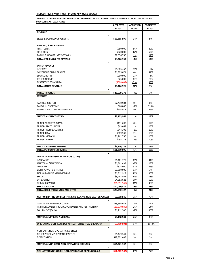| EXHIBIT 1A - PERCENTAGE COMPARISON: APPROVED FY 2022 BUDGET VERSUS APPROVED FY 2021 BUDGET AND |                                 |                 |                  |  |  |  |  |
|------------------------------------------------------------------------------------------------|---------------------------------|-----------------|------------------|--|--|--|--|
| <b>PROJECTED ACTUAL FY 2021</b>                                                                | <b>APPROVED</b>                 | <b>APPROVED</b> | <b>PROJECTED</b> |  |  |  |  |
|                                                                                                | FY2022                          | FY2021          | FY2021           |  |  |  |  |
| <b>REVENUE</b>                                                                                 |                                 |                 |                  |  |  |  |  |
|                                                                                                |                                 |                 |                  |  |  |  |  |
| <b>LEASE &amp; OCCUPANCY PERMITS</b>                                                           | \$16,385,595                    | $-14%$          | 5%               |  |  |  |  |
|                                                                                                |                                 |                 |                  |  |  |  |  |
| <b>PARKING, &amp; FEE REVENUE</b><br><b>FEES - GEN'L</b>                                       | \$350,000                       | -56%            | 22%              |  |  |  |  |
| <b>FIELD FEES</b>                                                                              | \$220,000                       | 17%             | 52%              |  |  |  |  |
| PARKING INCOME (NET OF TAXES)                                                                  | \$7,656,750                     | 2%              | <u>11%</u>       |  |  |  |  |
| <b>TOTAL PARKING &amp; FEE REVENUE</b>                                                         | \$8,226,750                     | $-4%$           | 14%              |  |  |  |  |
|                                                                                                |                                 |                 |                  |  |  |  |  |
| <b>OTHER REVENUE</b>                                                                           |                                 |                 |                  |  |  |  |  |
| <b>INTEREST</b>                                                                                | \$1,885,462                     | 28%             | $-1%$            |  |  |  |  |
| <b>CONTRIBUTIONS &amp; GRANTS</b>                                                              | \$1,825,071                     | 0%              | 41%              |  |  |  |  |
| <b>SPONSORSHIPS</b>                                                                            | \$200,000                       | $-33%$          | -4%              |  |  |  |  |
| OTHER INCOME                                                                                   | \$25,000                        | $-82%$          | $-33%$           |  |  |  |  |
| RESTRICTED FOR CAPITAL                                                                         | ( \$508,607)                    | $-59%$          | 38%              |  |  |  |  |
| <b>TOTAL OTHER REVENUE</b>                                                                     | \$3,426,926                     | 37%             | 1%               |  |  |  |  |
|                                                                                                |                                 |                 |                  |  |  |  |  |
| <b>TOTAL REVENUE</b>                                                                           | \$28,039,271                    | $-7%$           | 7%               |  |  |  |  |
| <b>EXPENSES</b>                                                                                |                                 |                 |                  |  |  |  |  |
|                                                                                                |                                 |                 |                  |  |  |  |  |
| PAYROLL REG-FULL                                                                               | \$7,430,984                     | 0%              | 8%               |  |  |  |  |
| PAYROLL - OVERTIME<br>PAYROLL PART TIME & SEASONALS                                            | \$68,000                        | $-7%$<br>9%     | 316%<br>96%      |  |  |  |  |
|                                                                                                | \$604,978                       |                 |                  |  |  |  |  |
| SUBTOTAL DIRECT PAYROLL                                                                        | \$8,103,962                     | 1%              | 13%              |  |  |  |  |
|                                                                                                |                                 |                 |                  |  |  |  |  |
| FRINGE-WORKERS COMP.                                                                           | \$131,690                       | 0%              | 12%              |  |  |  |  |
| FRINGE- STATE UNEMP.                                                                           | \$63,668                        | 1%              | 13%              |  |  |  |  |
| FRINGE - RETIRE. CONTRIB.                                                                      | \$844,306                       | $-2%$           | 10%              |  |  |  |  |
| <b>FRINGE-FICA</b>                                                                             | \$589,537                       | 2%              | 15%              |  |  |  |  |
| FRINGE- MEDICAL                                                                                | \$1,262,756                     | 3%              | 15%              |  |  |  |  |
| FRINGE - OTHER                                                                                 | \$254,178                       | $-1%$           | 10%              |  |  |  |  |
|                                                                                                |                                 |                 |                  |  |  |  |  |
| <b>SUBTOTAL FRINGE BENEFITS</b>                                                                | \$3,146,134                     | 1%              | 13%              |  |  |  |  |
| <b>TOTAL PERSONNEL SERVICES</b>                                                                | \$11,250,096                    | 1%              | 13%              |  |  |  |  |
|                                                                                                |                                 |                 |                  |  |  |  |  |
| OTHER THAN PERSONAL SERVICES (OTPS)<br><b>INSURANCE</b>                                        | \$6,461,727                     | 48%             | 41%              |  |  |  |  |
| JANITORIAL/SANITATION                                                                          | \$1,861,439                     | $-8%$           | 18%              |  |  |  |  |
| <b>LEGAL FEE</b>                                                                               | \$375,000                       | $-32%$          | 55%              |  |  |  |  |
| <b>LIGHT POWER &amp; UTILITIES</b>                                                             | \$1,500,000                     | $-13%$          | 3%               |  |  |  |  |
| PIER 40 PARKING MANAGEMENT                                                                     | \$1,812,928                     | 16%             | 35%              |  |  |  |  |
| <b>SECURITY</b>                                                                                | \$3,788,562                     | 11%             | 18%              |  |  |  |  |
| OTPS, OTHER                                                                                    | \$4,682,622                     | $-19%$          | 62%              |  |  |  |  |
| REIMBURSEMENT                                                                                  | ( \$6,391,947)                  | 41%             | 48%              |  |  |  |  |
| <b>SUBTOTAL OTPS</b>                                                                           | \$14,090,331                    | -5%             | 28%              |  |  |  |  |
| TOTAL OPEX (PERSONNEL AND OTPS)                                                                | \$25,340,427                    | -3%             | 21%              |  |  |  |  |
|                                                                                                |                                 |                 |                  |  |  |  |  |
| NOI / OPERATING SURPLUS (PRE CAPx & CAPm, NON-CASH EXPENSES)                                   | \$2,698,845                     | $-35%$          | $-43%$           |  |  |  |  |
|                                                                                                |                                 | $-26%$          |                  |  |  |  |  |
| CAPITAL MAINTENANCE (CAPm)<br>REIMBURSEMENT (FROM GOVERNMENT AND RESTRICTED)*                  | \$33,556,075<br>( \$28,570,036) | $-26%$          | -14%<br>$-20%$   |  |  |  |  |
| <b>EQUIPMENT (CAPx)</b>                                                                        | \$1,212,500                     | $-7%$           | 35%              |  |  |  |  |
|                                                                                                |                                 |                 |                  |  |  |  |  |
| SUBTOTAL NET CAPx AND CAPm                                                                     | \$6,198,539                     | $-26%$          | 38%              |  |  |  |  |
|                                                                                                |                                 |                 |                  |  |  |  |  |
| <b>OPERATING SURPLUS (DEFICIT) AFTER NET CAPx &amp; CAPm</b>                                   | ( \$3,499,694)                  | $-17%$          | $-1542%$         |  |  |  |  |
|                                                                                                |                                 |                 |                  |  |  |  |  |
| NON-CASH, NON-OPERATING EXPENSES                                                               |                                 |                 |                  |  |  |  |  |
| OTHER POST EMPLOYMENT BENEFITS                                                                 | \$1,449,341                     | 3%              | 3%               |  |  |  |  |
| DEPRECIATION                                                                                   | \$12,822,405                    | 3%              | 3%               |  |  |  |  |
|                                                                                                |                                 |                 |                  |  |  |  |  |
| SUBTOTAL NON-CASH, NON-OPERATING EXPENSES                                                      | \$14,271,747                    | 3%              | 3%               |  |  |  |  |
| NOI (AFTER NON-CASH, NON-OPERATING EXPENSES) (a)                                               |                                 |                 |                  |  |  |  |  |
|                                                                                                | ( \$11,572,902)                 | 19%             | 27%              |  |  |  |  |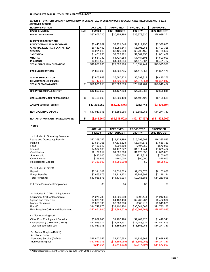| EXHIBIT 2- FUNCTION SUMMARY- (COMPARISON FY 2020 ACTUAL, FY 2021 APPROVED BUDGET, FY 2021 PROJECTION AND FY 2022 |  |
|------------------------------------------------------------------------------------------------------------------|--|
| <b>APPROVED BUDGET)</b>                                                                                          |  |

| AFFNUVED DUDGEIJ<br><b>HUDSON RIVER PARK</b>                              |                         | <b>ACTUAL</b>              | <b>APPROVED</b>               | <b>PROJECTED</b>                 | <b>APPROVED</b>             |
|---------------------------------------------------------------------------|-------------------------|----------------------------|-------------------------------|----------------------------------|-----------------------------|
| <b>FISCAL SUMMARY</b>                                                     | <b>Note</b>             | FY2020                     | 2021 BUDGET                   | 2021 FY                          | 2022 BUDGET                 |
| <b>OPERATING REVENUE</b>                                                  | 1                       | \$37,607,710               | \$30,158,196                  | \$25,673,630                     | \$28,039,271                |
|                                                                           |                         |                            |                               |                                  |                             |
| <b>DIRECT PARK OPERATIONS</b>                                             |                         |                            |                               |                                  |                             |
| <b>EDUCATION AND PARK PROGRAMS</b>                                        |                         | \$2,445,002                | \$2,721,646                   | \$1,919,996                      | \$2,376,865                 |
| <b>GROUNDS, FACILITIES &amp; CAPITAL PLANT</b>                            |                         | \$6,139,452                | \$8,059,841                   | \$5,795,263                      | \$7,407,328                 |
| <b>SECURITY</b>                                                           |                         | \$3,281,016                | \$3,425,000                   | \$3,205,455                      | \$3,788,562                 |
| <b>SANITATION</b>                                                         |                         | \$1,471,638                | \$2,023,261                   | \$1,584,158                      | \$1,861,439                 |
| <b>UTILITIES</b>                                                          |                         | \$1,561,339                | \$1,727,288                   | \$1,454,803                      | \$1,500,000                 |
| <b>INSURANCE</b>                                                          |                         | \$3,929,558                | \$4,363,244                   | \$4,579,567                      | \$6,461,727                 |
| <b>TOTAL DIRECT PARK OPERATIONS</b>                                       |                         | \$18,828,005               | \$22,320,280                  | \$18,539,241                     | \$23,395,920                |
| <b>PARKING OPERATIONS</b>                                                 |                         | \$1,850,698                | \$1,661,735                   | \$1,417,053                      | \$1,891,178                 |
|                                                                           |                         | \$3,873,968                | \$6,567,922                   | \$5,292,818                      | \$6,445,276                 |
| <b>ADMIN, SUPPORT &amp; OH</b><br><b>REIMBURSEABLE EXPENSES</b>           |                         | (\$3,747,013)              | (\$4,529,304)                 |                                  | (\$6,391,947)               |
|                                                                           | $\overline{\mathbf{2}}$ | \$20,805,658               | \$26,020,633                  | $(\$4,314,351)$<br>\$20,934,761  | \$25,340,427                |
| <b>TOTAL OPERATING (OPEX)</b>                                             |                         |                            |                               |                                  |                             |
| <b>OPERATING SURPLUS (DEFICIT)</b>                                        |                         | \$16,802,052               | \$4,137,563                   | \$4,738,868                      | \$2,698,845                 |
| CAPx AND CAPm NET REIMBURSABLE                                            | 3                       | \$3,466,090                | \$8,360,139                   | \$4,496,125                      | \$6,198,539                 |
| <b>ANNUAL SURPLUS (DEFICIT)</b>                                           |                         | \$13,335,962               | (\$4,222,576)                 | \$242,743                        | (\$3,499,694)               |
| <b>NON OPERATING EXPENSE</b>                                              | 4                       | \$17,047,016               | \$13,856,065                  | \$13,856,065                     | \$14,271,747                |
| NOI (AFTER NON CASH TRANSACTIONS)(a)                                      | 5                       | (\$244,964)                | (\$9,718,502)                 | ( \$9, 117, 197]                 | (\$11,572,902)              |
|                                                                           |                         |                            |                               |                                  |                             |
| <b>Notes</b>                                                              |                         |                            |                               |                                  |                             |
|                                                                           |                         | <b>ACTUAL</b>              | <b>APPROVED</b>               | <b>PROJECTED</b>                 | <b>PROPOSED</b>             |
|                                                                           |                         | FY2020                     | 2021 BUDGET                   | 2021 FY                          | 2022 BUDGET                 |
| 1 - Included in Operating Revenue                                         |                         |                            |                               |                                  |                             |
| Lease and Occupancy Permits                                               |                         | \$22,369,242               | \$19,138,196                  | \$15,299,603                     | \$16,385,595                |
| Parking<br>Fees                                                           |                         | \$7,661,366<br>\$1,450,912 | \$7,535,628<br>\$991,500      | \$6,784,576<br>\$197,360         | \$7,656,750<br>\$570,000    |
| Interest                                                                  |                         | \$4,597,560                | \$1,477,872                   | \$1,914,244                      | \$1,885,462                 |
| Contribution                                                              |                         | \$2,189,819                | \$1,825,000                   | \$1,170,036                      | \$1,825,071                 |
| Sponsorship                                                               |                         | \$432,005                  | \$300,000                     | \$217,811                        | \$200,000                   |
| Other income                                                              |                         | \$256,806                  | \$140,000                     | \$90,000                         | \$25,000                    |
| <b>Restricted for Capital</b>                                             |                         | (\$1,350,000)              | (\$1,250,000)                 | \$0                              | (\$508,607)                 |
| 2 - Included in OPEX                                                      |                         |                            |                               |                                  |                             |
| Payroll                                                                   |                         | \$7,391,202                | \$8,026,523                   | \$7,174,075                      | \$8,103,962                 |
| <b>Fringe Benefits</b>                                                    |                         | \$2,665,676                | \$3,113,471                   | \$2,782,808                      | \$3,146,134                 |
| <b>Total Personnel</b>                                                    |                         | \$10,056,878               | \$11,139,994                  | \$9,956,883                      | \$11,250,096                |
|                                                                           |                         |                            |                               |                                  |                             |
| <b>Full Time Permanent Employees</b>                                      |                         | 80                         | 84                            | 80                               | 83                          |
|                                                                           |                         |                            |                               |                                  |                             |
| 3 - Included in CAPm & Equipment<br>Equipment (Incl replacements)         |                         | \$1,278,783                | \$1,306,000                   |                                  |                             |
| <b>Upland and Park Piers</b>                                              |                         | \$4,033,106                | \$4,463,498                   | \$898,141<br>\$2,269,267         | \$1,212,500<br>\$8,482,884  |
| <b>Marine Structures</b>                                                  |                         | \$6,058,135                | \$2,560,000                   | \$886,919                        | \$3,343,025                 |
| Pier 40                                                                   |                         | \$14,747,870               | \$38,400,164                  | \$36,044,067                     | \$21,730,166                |
| Reimbursable CAPm and Equipment                                           |                         | (\$22,651,804)             | (\$38,369,523)                | (\$35,602,268)                   | (\$28,570,036)              |
| 4 - Non operating cost                                                    |                         |                            |                               |                                  |                             |
| <b>Other Post Employment Benefits</b>                                     |                         | \$5,027,945                |                               | \$1,407,128                      |                             |
| Depreciation (CAPx and CAPm)                                              |                         | \$12,019,071               | \$1,407,128<br>\$12,448,937   | \$12,448,937                     | \$1,449,341<br>\$12,822,405 |
| Total non operating cost                                                  |                         | \$17,047,016               | \$13,856,065                  | \$13,856,065                     | \$14,271,747                |
|                                                                           |                         |                            |                               |                                  |                             |
| 5- Annual Surplus (Deficit)                                               |                         |                            |                               |                                  |                             |
| <b>Additional Notes</b>                                                   |                         | \$16,802,052               |                               |                                  |                             |
| <b>Operating Surplus (Deficit)</b><br>Non operating cost                  |                         | (\$17,047,016)             | \$4,137,563<br>(\$13,856,065) | \$4,738,868<br>$($ \$13,856,065) | \$2,698,845<br>(\$14,271,   |
|                                                                           |                         | (\$244,964)                | (\$9,718,502)                 | \$9,117,197                      |                             |
|                                                                           |                         |                            |                               |                                  |                             |
| *Potential reimbursement for several projects for FY 2021 is under review |                         |                            |                               |                                  |                             |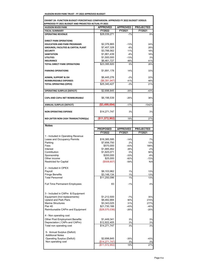| <b>EXHIBIT 2A -FUNCTION BUDGET-PERCENTAGE COMPARISON: APPROVED FY 2022 BUDGET VERSUS</b> |
|------------------------------------------------------------------------------------------|
| APPROVED FY 2021 BUDGET AND PROJECTED ACTUAL FY 2021                                     |

| <b>HUDSON RIVER PARK</b>                          | <b>APPROVED</b>              | <b>APPROVED</b>           | <b>PROJECTED</b>           |
|---------------------------------------------------|------------------------------|---------------------------|----------------------------|
| <b>FISCAL SUMMARY</b>                             | FY2022                       | FY2021                    | FY2021                     |
| <b>OPERATING REVENUE</b>                          | \$28,039,271                 | $-7%$                     | 9%                         |
|                                                   |                              |                           |                            |
| <b>DIRECT PARK OPERATIONS</b>                     |                              |                           |                            |
| <b>EDUCATION AND PARK PROGRAMS</b>                | \$2,376,865                  | $-13%$                    | 24%                        |
| <b>GROUNDS, FACILITIES &amp; CAPITAL PLANT</b>    | \$7,407,328                  | $-8%$                     | 28%                        |
| <b>SECURITY</b>                                   | \$3,788,562                  | 11%                       | 18%                        |
| <b>SANITATION</b>                                 | \$1,861,439                  | $-8%$                     | 18%                        |
| <b>UTILITIES</b><br><b>INSURANCE</b>              | \$1,500,000<br>\$6,461,727   | $-13%$<br>48%             | 3%<br>41%                  |
| <b>TOTAL DIRECT PARK OPERATIONS</b>               | \$23,395,920                 | 5%                        | 26%                        |
|                                                   |                              |                           |                            |
| <b>PARKING OPERATIONS</b>                         | \$1,891,178                  | 14%                       | 33%                        |
| <b>ADMIN, SUPPORT &amp; OH</b>                    | \$6,445,276                  | $-2%$                     | 22%                        |
| REIMBURSEABLE EXPENSES                            | $(\$6,391,947)$              | 41%                       | 48%                        |
| <b>TOTAL OPERATING (OPEX)</b>                     | \$25,340,427                 | $-3%$                     | 21%                        |
|                                                   |                              |                           |                            |
| OPERATING SURPLUS (DEFICIT)                       | \$2,698,845                  | -35%                      | $-43%$                     |
| CAPx AND CAPm NET REIMBURSABLE                    | \$6,198,539                  | $-26%$                    | 38%                        |
| ANNUAL SURPLUS (DEFICIT)                          | (\$3,499,694)                | $-17%$                    | $-1542%$                   |
|                                                   |                              |                           |                            |
| <b>NON OPERATING EXPENSE</b>                      | \$14,271,747                 | 3%                        | 3%                         |
| NOI (AFTER NON CASH TRANSACTIONS)(a)              | (\$11,572,902)               | 19%                       | 27%                        |
|                                                   |                              |                           |                            |
| <b>Notes</b>                                      |                              |                           |                            |
|                                                   | <b>PROPOSED</b><br>FY2022    | <b>APPROVED</b><br>FY2021 | <b>PROJECTED</b><br>FY2021 |
| 1 - Included in Operating Revenue                 |                              |                           |                            |
| Lease and Occupancy Permits                       | \$16,385,595                 | $-14%$                    | 7%                         |
| Parking                                           | \$7,656,750                  | 2%                        | 13%                        |
| Fees                                              | \$570,000                    | $-43%$                    | 189%                       |
| Interest                                          | \$1,885,462                  | 28%                       | $-2%$                      |
| Contribution                                      | \$1,825,071                  | 0%                        | 56%                        |
| Sponsorship                                       | \$200,000                    | $-33%$                    | $-8%$                      |
| Other income<br><b>Restricted for Capital</b>     | \$25,000<br>(\$508,607)      | $-82%$<br>$-59%$          | $-72%$<br>N/A              |
|                                                   |                              |                           |                            |
| 2 - Included in OPEX                              |                              |                           |                            |
| Payroll                                           | \$8,103,962                  | 1%                        | 13%                        |
| <b>Fringe Benefits</b>                            | \$3,146,134                  | 1%                        | 13%                        |
| <b>Total Personnel</b>                            | \$11,250,096                 | 1%                        | 13%                        |
|                                                   |                              |                           |                            |
| <b>Full Time Permanent Employees</b>              | 83                           | $-1%$                     | 4%                         |
|                                                   |                              |                           |                            |
| 3 - Included in CAPm & Equipment                  |                              |                           |                            |
| Equipment (Incl replacements)                     | \$1,212,500                  | $-7%$                     | 35%                        |
| <b>Upland and Park Piers</b>                      | \$8,482,884                  | 90%                       | 274%                       |
| <b>Marine Structures</b>                          | \$3,343,025                  | 31%                       | 277%                       |
| Pier 40                                           | \$21,730,166                 | -43%                      | $-40%$                     |
| Reimbursable CAPm and Equipment                   | (\$28,570,036)               | $-26%$                    | $-20%$                     |
| 4 - Non operating cost                            |                              |                           |                            |
| <b>Other Post Employment Benefits</b>             | \$1,449,341                  | 3%                        | 3%                         |
| Depreciation (CAPx and CAPm)                      | \$12,822,405                 | 3%                        | 3%                         |
| Total non operating cost                          | $\overline{$}14,271,747$     | 3%                        | 3%                         |
|                                                   |                              |                           |                            |
| 5- Annual Surplus (Deficit)                       |                              |                           |                            |
| <b>Additional Notes</b>                           |                              |                           |                            |
| Operating Surplus (Deficit)<br>Non operating cost | \$2,698,845<br>(\$14,271,747 | -35%<br>3%                | $-43%$<br>3%               |
|                                                   | (\$11,572,902)               | 19%                       | 27%                        |
|                                                   |                              |                           |                            |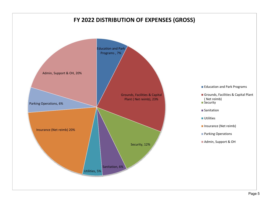## **FY 2022 DISTRIBUTION OF EXPENSES (GROSS)**

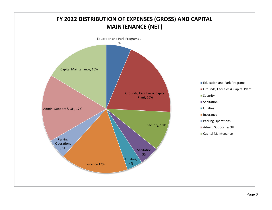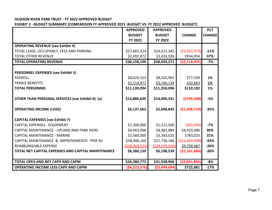#### **EXHIBIT 3 - BUDGET SUMMARY (COMPARISON FY APPROVED 2021 BUDGET VS FY 2022 APPROVED BUDGET)**

|                                                    | <b>APPROVED</b> | <b>APPROVED</b> |                 | <b>PCT</b>    |
|----------------------------------------------------|-----------------|-----------------|-----------------|---------------|
|                                                    | <b>BUDGET</b>   | <b>BUDGET</b>   | <b>CHANGE</b>   | <b>CHANGE</b> |
|                                                    | FY 2021         | FY 2022         |                 |               |
| <b>OPERATING REVENUE (see Exhibit 4)</b>           |                 |                 |                 |               |
| TOTAL LEASE, OCCUPANCY, FEES AND PARKING           | \$27,665,324    | \$24,612,345    | ( \$3,052,979)  | $-11%$        |
| <b>TOTAL OTHER REVENUE</b>                         | \$2,492,872     | \$3,426,926     | \$934,054       | 37%           |
| <b>TOTAL OPERATING REVENUE</b>                     | \$30,158,196    | \$28,039,271    | (52, 118, 925)  | $-7%$         |
|                                                    |                 |                 |                 |               |
| <b>PERSONNEL EXPENSES (see Exhibit 5)</b>          |                 |                 |                 |               |
| <b>PAYROLL</b>                                     | \$8,026,523     | \$8,103,962     | \$77,439        | 1%            |
| <b>FRINGE BENEFITS</b>                             | \$3,113,471     | \$3,146,134     | \$32,663        | <u>1%</u>     |
| <b>TOTAL PERSONNEL</b>                             | \$11,139,994    | \$11,250,096    | \$110,102       | 1%            |
|                                                    |                 |                 |                 |               |
| OTHER THAN PERSONAL SERVICES (see Exhibit 6) (a)   | \$14,880,639    | \$14,090,331    | (5790, 308)     | $-5%$         |
| <b>OPERATING INCOME (LOSS)</b>                     | \$4,137,563     | \$2,698,845     | (\$1,438,719)   | $-35%$        |
| <b>CAPITAL EXPENSES (see Exhibit 7)</b>            |                 |                 |                 |               |
| CAPITAL EXPENSES - EQUIPMENT                       | \$1,306,000     | \$1,212,500     | ( \$93,500)     | $-7%$         |
| CAPITAL MAINTENANCE - UPLAND AND PARK PIERS        | \$4,463,498     | \$8,482,884     | \$4,019,386     | 90%           |
| <b>CAPITAL MAINTENANCE - MARINE</b>                | \$2,560,000     | \$3,343,025     | \$783,025       | 31%           |
| CAPITAL MAINTENANCE & IMPROVEMENTS- PIER 40        | \$38,400,164    | \$21,730,166    | ( \$16,669,998) | $-43%$        |
| REIMBURSEABLE EXPENSE                              | (\$38,369,523)  | (528, 570, 036) | \$9,799,487     | $-26%$        |
| TOTAL NET CAPITAL EXPENSES AND CAPITAL MAINTENANCE | \$8,360,139     | \$6,198,539     | ( \$2,161,600)  | $-26%$        |
|                                                    |                 |                 |                 |               |
| TOTAL OPEX AND NET CAPX AND CAPM                   | \$34,380,772    | \$31,538,966    | ( \$2,841,806)  | $-8%$         |
| OPERATING INCOME LESS CAPX AND CAPM                | (54, 222, 576)  | ( \$3,499,694)  | \$722,881       | $-17%$        |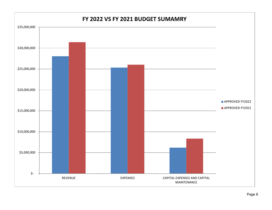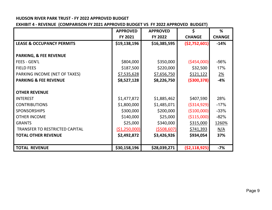**EXHIBIT 4 - REVENUE (COMPARISON FY 2021 APPROVED BUDGET VS FY 2022 APPROVED BUDGET)**

|                                       | <b>APPROVED</b> | <b>APPROVED</b> | \$             | %             |
|---------------------------------------|-----------------|-----------------|----------------|---------------|
|                                       | FY 2021         | FY 2022         | <b>CHANGE</b>  | <b>CHANGE</b> |
| <b>LEASE &amp; OCCUPANCY PERMITS</b>  | \$19,138,196    | \$16,385,595    | (52, 752, 601) | $-14%$        |
|                                       |                 |                 |                |               |
| <b>PARKING, &amp; FEE REVENUE</b>     |                 |                 |                |               |
| <b>FEES - GEN'L</b>                   | \$804,000       | \$350,000       | ( \$454,000]   | $-56%$        |
| <b>FIELD FEES</b>                     | \$187,500       | \$220,000       | \$32,500       | 17%           |
| PARKING INCOME (NET OF TAXES)         | \$7,535,628     | \$7,656,750     | \$121,122      | <u>2%</u>     |
| <b>PARKING &amp; FEE REVENUE</b>      | \$8,527,128     | \$8,226,750     | ( \$300, 378)  | $-4%$         |
|                                       |                 |                 |                |               |
| <b>OTHER REVENUE</b>                  |                 |                 |                |               |
| <b>INTEREST</b>                       | \$1,477,872     | \$1,885,462     | \$407,590      | 28%           |
| <b>CONTRIBUTIONS</b>                  | \$1,800,000     | \$1,485,071     | ( \$314, 929)  | $-17%$        |
| <b>SPONSORSHIPS</b>                   | \$300,000       | \$200,000       | ( \$100,000]   | $-33%$        |
| <b>OTHER INCOME</b>                   | \$140,000       | \$25,000        | ( \$115,000)   | $-82%$        |
| <b>GRANTS</b>                         | \$25,000        | \$340,000       | \$315,000      | 1260%         |
| <b>TRANSFER TO RESTRICTED CAPITAL</b> | ( \$1,250,000)  | (5508, 607)     | \$741,393      | <u>N/A</u>    |
| <b>TOTAL OTHER REVENUE</b>            | \$2,492,872     | \$3,426,926     | \$934,054      | 37%           |
|                                       |                 |                 |                |               |
| <b>TOTAL REVENUE</b>                  | \$30,158,196    | \$28,039,271    | ( \$2,118,925) | $-7%$         |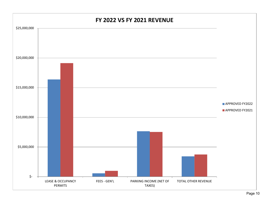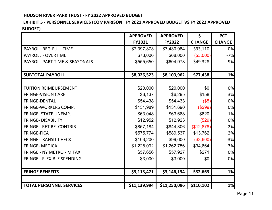#### **EXHIBIT 5 - PERSONNEL SERVICES (COMPARISON FY 2021 APPROVED BUDGET VS FY 2022 APPROVED BUDGET)**

|                                   | <b>APPROVED</b> | <b>APPROVED</b> | \$            | <b>PCT</b>    |
|-----------------------------------|-----------------|-----------------|---------------|---------------|
|                                   | <b>FY2021</b>   | <b>FY2022</b>   | <b>CHANGE</b> | <b>CHANGE</b> |
| <b>PAYROLL REG-FULL TIME</b>      | \$7,397,873     | \$7,430,984     | \$33,110      | 0%            |
| <b>PAYROLL - OVERTIME</b>         | \$73,000        | \$68,000        | (55,000)      | $-7%$         |
| PAYROLL PART TIME & SEASONALS     | \$555,650       | \$604,978       | \$49,328      | 9%            |
|                                   |                 |                 |               |               |
| <b>SUBTOTAL PAYROLL</b>           | \$8,026,523     | \$8,103,962     | \$77,438      | 1%            |
|                                   |                 |                 |               |               |
| <b>TUITION REIMBURSEMENT</b>      | \$20,000        | \$20,000        | \$0           | 0%            |
| <b>FRINGE-VISION CARE</b>         | \$6,137         | \$6,295         | \$158         | 3%            |
| <b>FRINGE-DENTAL</b>              | \$54,438        | \$54,433        | (\$5)         | 0%            |
| <b>FRINGE-WORKERS COMP.</b>       | \$131,989       | \$131,690       | (\$299)       | 0%            |
| <b>FRINGE- STATE UNEMP.</b>       | \$63,048        | \$63,668        | \$620         | 1%            |
| <b>FRINGE-DISABILITY</b>          | \$12,952        | \$12,923        | (\$29)        | 0%            |
| FRINGE - RETIRE. CONTRIB.         | \$857,184       | \$844,306       | (\$12,878)    | $-2%$         |
| <b>FRINGE-FICA</b>                | \$575,774       | \$589,537       | \$13,762      | 2%            |
| <b>FRINGE-TRANSIT CHECK</b>       | \$103,200       | \$99,600        | (\$3,600)     | $-3%$         |
| <b>FRINGE- MEDICAL</b>            | \$1,228,092     | \$1,262,756     | \$34,664      | 3%            |
| <b>FRINGE - NY METRO - M TAX</b>  | \$57,656        | \$57,927        | \$271         | 0%            |
| <b>FRINGE - FLEXIBLE SPENDING</b> | \$3,000         | \$3,000         | \$0           | 0%            |
|                                   |                 |                 |               |               |
| <b>FRINGE BENEFITS</b>            | \$3,113,471     | \$3,146,134     | \$32,663      | 1%            |
|                                   |                 |                 |               |               |
| <b>TOTAL PERSONNEL SERVICES</b>   | \$11,139,994    | \$11,250,096    | \$110,102     | 1%            |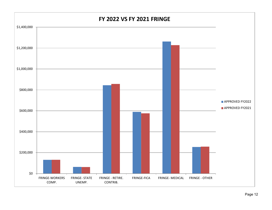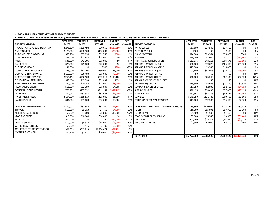**EXHIBIT 6 - OTHER THAN PERSONNEL SERVICES (COMPARISON FY2021 APPROVED, FY 2021 PROJECTED ACTUALS AND FY 2022 APPROVED BUDGET )**

|                                        | <b>APPROVED</b> | <b>PROJECTED</b> | <b>APPROVED</b> | <b>BUDGET</b> | <b>PCT</b>    |                                          | <b>APPROVED</b> | <b>PROJECTED</b> | <b>APPROVED</b> | <b>BUDGET</b>              | <b>PCT</b>    |
|----------------------------------------|-----------------|------------------|-----------------|---------------|---------------|------------------------------------------|-----------------|------------------|-----------------|----------------------------|---------------|
| <b>BUDGET CATEGORY</b>                 | FY 2021         | FY 2021          | FY 2022         | <b>CHANGE</b> | <b>CHANGE</b> | <b>BUDGET CATEGORY</b>                   | FY 2021         | FY 2021          | FY 2022         | <b>CHANGE</b>              | <b>CHANGE</b> |
| <b>PROMOTION &amp; PUBLIC RELATION</b> | \$278,500       | \$109,498        | \$90,650        | ( \$187, 850) | $-67%$        | <b>PAYROLL FEES</b>                      | \$37,500        | \$37,500         | \$37,500        | \$0                        | 0%            |
| <b>AUDITING FEE</b>                    | \$175,000       | \$148,500        | \$150,000       | ( \$25,000]   | $-14%$        | PHOTOGRAPHER                             | \$500           | \$0              | \$500           | \$0                        | 0%            |
| AUTO MTNCE, & GASOLINE                 | \$63,250        | \$35.838         | \$62,750        | (5500)        | $-1%$         | PLANT MATERIALS                          | \$74,500        | \$29,564         | \$75,000        | \$500                      | 1%            |
| <b>AUTO SERVICE</b>                    | \$25,000        | \$17,332         | \$25,000        | \$0           | N/A           | POSTAGE                                  | \$25,000        | \$3,000          | \$7,500         | (\$17,500)                 | $-70%$        |
| <b>FUEL</b>                            | \$35,000        | \$42,206         | \$35,000        | \$0           | N/A           | PRINTING & REPRODUCTION                  | \$133,676       | \$48,215         | \$104,176       | ( \$29,500)                | $-22%$        |
| <b>BANK FEES</b>                       | \$25,000        | \$25,000         | \$25,000        | \$0           |               | <b>REPAIRS &amp; MTNCE - BLDG</b>        | \$80,000        | \$79,028         | \$105,000       | \$25,000                   | 31%           |
| <b>BUSINESS MEALS</b>                  | \$1,000         | \$0              | \$200           | (5800)        | $-80%$        | <b>REPAIRS &amp; MTNCE - MARINE</b>      | \$15,000        | \$3,586          | \$15,000        | \$0                        | 0%            |
| <b>COMPUTER CONSULTANT</b>             | \$65,000        | \$62,107         | \$150,000       | \$85,000      | 131%          | <b>REPAIRS &amp; MTNCE- EQUIPT</b>       | \$101,800       | \$52,986         | \$76,800        | (\$25,000)                 | $-25%$        |
| <b>COMPUTER HARDWARE</b>               | \$110,000       | \$26,483         | \$35,000        | (575,000)     | $-68%$        | <b>REPAIRS &amp; MTNCE- OFFICE</b>       | \$0             | \$0              | \$0             | \$0                        | N/A           |
| <b>COMPUTER SOFTWARE</b>               | \$264,110       | \$196,109        | \$382,210       | \$118,100     | 45%           | <b>REPAIRS &amp; MTNCE-OTHER</b>         | \$30,000        | \$25,248         | \$82,530        | \$52,530                   | 175%          |
| <b>EDUCATIONALTRAINING</b>             | \$53,400        | \$13,293         | \$53,838        | \$438         |               | <b>REPAIR &amp; MAINT REC FACILITIES</b> | \$0             | \$0              | \$0             | \$0                        | N/A           |
| <b>EMPLOYEE RECRUITMENT</b>            | \$20,000        | \$10,744         | \$12,000        | (58,000)      | $-40%$        | SECURITY EQUIPMENT                       | \$15,500        | \$5,656          | \$18,110        | \$2,610                    | N/A           |
| <b>FEES &amp;MEMBERSHIP</b>            | \$11,500        | \$12,389         | \$15,809        | \$4,309       | 37%           | <b>SEMINARS &amp; CONFERENCES</b>        | \$17,350        | \$2,836          | \$12,600        | (54, 750)                  | $-27%$        |
| <b>GENERAL CONSULTANT</b>              | \$1,776,875     | \$477,332        | \$849,158       | (\$927,717)   | $-52%$        | <b>SIGNS &amp; BANNERS</b>               | \$89,435        | \$38,436         | \$77,000        | ( \$12,435)                | $-14%$        |
| <b>INTERNET</b>                        | \$84,045        | \$137,538        | \$83,045        | (51,000)      | $-1%$         | <b>SUBSCRIPTION</b>                      | \$62,563        | \$52,136         | \$30,459        | ( \$32, 104)               | $-51%$        |
| <b>INVESTMENT FEES</b>                 | \$104,000       | \$158,819        | \$125,000       | \$21,000      | N/A           | <b>SUPPLIES</b>                          | \$149,250       | \$121,783        | \$200,750       | \$51,500                   | 35%           |
| LANDSCAPING                            | \$31,000        | \$31,000         | \$40,000        | \$9,000       | 29%           | TELEPHONE EQUIP/ACCESSORIES              | \$13,000        | \$12,585         | \$15,000        | \$2,000                    | 15%           |
|                                        |                 |                  |                 |               |               |                                          |                 |                  |                 |                            |               |
| LEASE EQUIPMENT/RENTAL                 | \$130,001       | \$32,355         | \$88,200        | (541,801)     | $-32%$        | TELEPHONE& ELECTRONIC COMMUNICATIONS     | \$135,390       | \$120,992        | \$172,529       | \$37,139                   | 27%           |
| <b>TRAVEL</b>                          | \$12,250        | \$1,213          | \$7,450         | (54,800)      | $-39%$        | <b>TOOLS</b>                             | \$16,000        | \$15,891         | \$17,000        | \$1,000                    | 6%            |
| MEETING EXPENSES                       | \$6,500         | \$4,000          | \$25,800        | \$19,300      | 297%          | <b>TOOLS REPAIR</b>                      | \$1,500         | \$1,500          | \$1,500         | \$0                        | N/A           |
| <b>MISC EXPENSE</b>                    | \$10,000        | \$10,000         | \$10,000        | \$0           |               | <b>TRAFIC CONTROL EQUIPMENT</b>          | \$5,000         | \$5,548          | \$3,600         | (\$1,400)                  | N/A           |
| <b>MOVIES</b>                          | \$20,000        | \$0              | \$0             | (\$20,000)    | $-100%$       | <b>UNIFORM</b>                           | \$63,260        | \$53,322         | \$61,685        | (51, 575)                  | $-2%$         |
| <b>OFFICE SUPPLY</b>                   | \$50,000        | \$6,513          | \$45,000        | (55,000)      | $-10%$        | <b>VOLUNTEER EXPENSE</b>                 | \$2,500         | \$2,049          | \$2,600         | \$100                      | N/A           |
| <b>OTHER EXPENSES</b>                  | \$5,900         | \$446            | \$3,400         | (52,500)      | $-42%$        |                                          |                 |                  |                 |                            |               |
| <b>OTHER OUTSIDE SERVICES</b>          | \$1,301,805     | \$613,213        | \$1,230,674     | (\$71,131)    | $-5%$         |                                          |                 |                  |                 |                            |               |
| <b>OVERNIGHT MAIL</b>                  | \$30,100        | \$1,811          | \$20,600        | ( \$9,500)    | $-32%$        |                                          |                 |                  |                 |                            |               |
|                                        |                 |                  |                 |               |               | <b>TOTAL OTPS</b>                        | \$5,757,960     | \$2,885,599      |                 | $$4,682,622$ (\$1,075,338) | $-19%$        |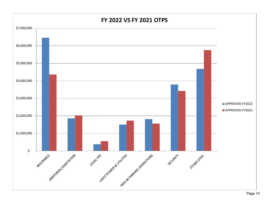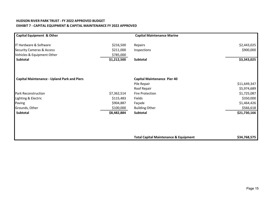#### **HUDSON RIVER PARK TRUST - FY 2022 APPROVED BUDGET EXHIBIT 7 - CAPITAL EQUIPMENT & CAPITAL MAINTENANCE FY 2022 APPROVED**

| <b>Capital Equipment &amp; Other</b>               |             | <b>Capital Maintenance Marine</b>                |              |
|----------------------------------------------------|-------------|--------------------------------------------------|--------------|
| IT Hardware & Software                             | \$216,500   | Repairs                                          | \$2,443,025  |
| <b>Security Cameras &amp; Access</b>               | \$211,000   | Inspections                                      | \$900,000    |
| Vehicles & Equipment Other                         | \$785,000   |                                                  |              |
| Subtotal                                           | \$1,212,500 | Subtotal                                         | \$3,343,025  |
| <b>Capital Maintenance - Upland Park and Piers</b> |             | <b>Capital Maintenance Pier 40</b>               |              |
|                                                    |             | Pile Repair                                      | \$11,649,347 |
|                                                    |             | Roof Repair                                      | \$5,974,689  |
| <b>Park Reconstruction</b>                         | \$7,362,514 | Fire Protection                                  | \$1,725,087  |
| Lighting & Electric                                | \$115,483   | Fields                                           | \$350,000    |
| Paving                                             | \$904,887   | Façade                                           | \$1,464,426  |
| Grounds, Other                                     | \$100,000   | <b>Building Other</b>                            | \$566,618    |
| Subtotal                                           | \$8,482,884 | Subtotal                                         | \$21,730,166 |
|                                                    |             |                                                  |              |
|                                                    |             |                                                  |              |
|                                                    |             | <b>Total Capital Maintenance &amp; Equipment</b> | \$34,768,575 |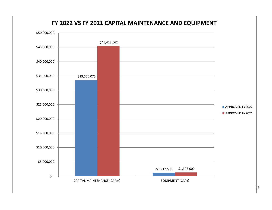

### **FY 2022 VS FY 2021 CAPITAL MAINTENANCE AND EQUIPMENT**

 $|16|$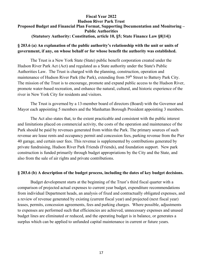#### **Fiscal Year 2022Hudson River Park TrustProposed Budget and Financial Plan Format, Supporting Documentation and Monitoring – Public Authorities(Statutory Authority: Constitution, article 10, §5; State Finance Law §8[14])**

#### **§ 203.6 (a) An explanation of the public authority's relationship with the unit or units of government, if any, on whose behalf or for whose benefit the authority was established.**

The Trust is a New York State (State) public benefit corporation created under the Hudson River Park Act (Act) and regulated as a State authority under the State's Public Authorities Law. The Trust is charged with the planning, construction, operation and maintenance of Hudson River Park (the Park), extending from 59<sup>th</sup> Street to Battery Park City. The mission of the Trust is to encourage, promote and expand public access to the Hudson River, promote water-based recreation, and enhance the natural, cultural, and historic experience of the river in New York City for residents and visitors.

The Trust is governed by a 13-member board of directors (Board) with the Governor and Mayor each appointing 5 members and the Manhattan Borough President appointing 3 members.

The Act also states that, to the extent practicable and consistent with the public interest and limitations placed on commercial activity, the costs of the operation and maintenance of the Park should be paid by revenues generated from within the Park. The primary sources of such revenue are lease rents and occupancy permit and concession fees, parking revenue from the Pier 40 garage, and certain user fees. This revenue is supplemented by contributions generated by private fundraising, Hudson River Park Friends (Friends), and foundation support. New park construction is funded primarily through budget appropriations by the City and the State, and also from the sale of air rights and private contributions.

#### **§ 203.6 (b) A description of the budget process, including the dates of key budget decisions.**

Budget development starts at the beginning of the Trust's third fiscal quarter with a comparison of projected actual expenses to current year budget, expenditure recommendations from individual Department heads, an analysis of fixed and contractually obligated expenses, and a review of revenue generated by existing (current fiscal year) and projected (next fiscal year) leases, permits, concession agreements, fees and parking charges. Where possible, adjustments to expenses are performed such that efficiencies are achieved, unnecessary expenses and unused budget lines are eliminated or reduced, and the operating budget is in balance, or generates a surplus which can be applied to unfunded capital maintenance in current or future years.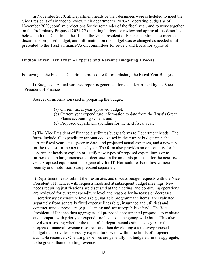In November 2020, all Department heads or their designees were scheduled to meet the Vice President of Finance to review their department's 2020-21 operating budget as of November 2020; confirm projections for the remainder of the fiscal year, and to work together on the Preliminary Proposed 2021-22 operating budget for review and approval. As described below, both the Department heads and the Vice President of Finance continued to meet to discuss the proposed budget, and information on the budget was exchanged as needed until presented to the Trust's Finance/Audit committees for review and Board for approval.

#### **Hudson River Park Trust – Expense and Revenue Budgeting Process**

Following is the Finance Department procedure for establishing the Fiscal Year Budget.

1) Budget vs. Actual variance report is generated for each department by the Vice President of Finance

Sources of information used in preparing the budget:

- (a) Current fiscal year approved budget;
- (b) Current year expenditure information to date from the Trust's Great Plains accounting system; and
- (c) Proposed department spending for the next fiscal year.

2) The Vice President of Finance distributes budget forms to Department heads. The forms include all expenditure account codes used in the current budget year, the current fiscal year actual (year to date) and projected actual expenses, and a new tab for the request for the next fiscal year. The form also provides an opportunity for the department heads to explain or justify new types of proposed expenditures or to further explain large increases or decreases in the amounts proposed for the next fiscal year. Proposed equipment lists (generally for IT, Horticulture, Facilities, camera security and motor pool) are prepared separately.

3) Department heads submit their estimates and discuss budget requests with the Vice President of Finance, with requests modified at subsequent budget meetings. New needs requiring justifications are discussed at the meeting, and continuing operations are reviewed for current expenditure level and reasons for increases or decreases. Discretionary expenditure levels (e.g., variable programmatic items) are evaluated separately from generally fixed expense lines (e.g., insurance and utilities) and contract service providers (e.g., cleaning and security/public safety). The Vice President of Finance then aggregates all proposed departmental proposals to evaluate and compare with prior year expenditure levels on an agency-wide basis. This also involves assessing whether the total of all departmental estimates is greater than projected financial revenue resources and then developing a tentative/proposed budget that provides necessary expenditure levels within the limits of projected available resources. Operating expenses are generally not budgeted, in the aggregate, to be greater than operating revenue.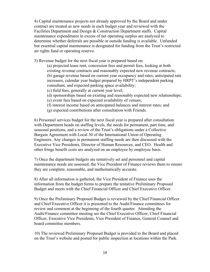4) Capital maintenance projects not already approved by the Board and under contract are treated as new needs in each budget year and reviewed with the Facilities Department and Design & Construction Department staffs. Capital maintenance expenditures in excess of net operating surplus are analyzed to determine whether deferrals are possible or outside funding is available. Unfunded but essential capital maintenance is designated for funding from the Trust's restricted air rights fund or operating reserve.

5) Revenue budget for the next fiscal year is prepared based on:

- (a) projected lease rent, concession fees and permit fees, looking at both existing revenue contracts and reasonably expected new revenue contracts; (b) garage revenue based on current year occupancy and rates, anticipated rate increases, calendar year budget prepared by HRPT's independent parking consultant, and expected parking space availability;
- (c) field fees, generally at current year level;
- (d) sponsorships based on existing and reasonably expected new relationships;
- (e) event fees based on expected availability of venues;
- (f) interest income based on anticipated balances and interest rates; and
- (g) expected contributions after consultation with Friends.

6) Personnel services budget for the next fiscal year is prepared after consultation with Department heads on staffing levels, the needs for permanent, part time, and seasonal positions, and a review of the Trust's obligations under a Collective Bargain Agreement with Local 30 of the International Union of Operating Engineers. Any changes in permanent staffing needs are then discussed with the Executive Vice Presidents, Director of Human Resources, and CEO. Health and other fringe benefit costs are analyzed on an employee by employee basis.

7) Once the department budgets are tentatively set and personnel and capital maintenance needs are assessed, the Vice President of Finance reviews them to ensure they are complete, reasonable, and mathematically accurate.

8) After all information is gathered, the Vice President of Finance uses the information from the budget forms to prepare the tentative Preliminary Proposed Budget and meets with the Chief Financial Officer and Chief Executive Officer.

9) Once the Preliminary Proposed Budget is reviewed by the Chief Financial Officer and Chief Executive Officer it is presented to the Audit/Finance committees for review and comment at the beginning of the fourth quarter. Attending the Audit/Finance committee meeting are the Chief Executive Officer, Chief Financial Officer, Executive Vice Presidents, Vice President of Finance, General Counsel and board committee members.

10) The reviewed Preliminary Proposed Budget is provided to the Board and placed on the Trust's website and posted for public inspection at locations within the Park.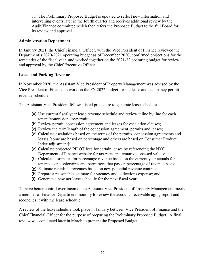11) The Preliminary Proposed Budget is updated to reflect new information and intervening events later in the fourth quarter and receives additional review by the Audit/Finance committee which then refers the Proposed Budget to the full Board for its review and approval.

#### **Administration Department**

In January 2021, the Chief Financial Officer, with the Vice President of Finance reviewed the Department's 2020-2021 operating budget as of December 2020; confirmed projections for the remainder of the fiscal year, and worked together on the 2021-22 operating budget for review and approval by the Chief Executive Officer.

#### **Lease and Parking Revenue**

In November 2020, the Assistant Vice President of Property Management was advised by the Vice President of Finance to work on the FY 2022 budget for the lease and occupancy permit revenue schedule.

The Assistant Vice President follows listed procedure to generate lease schedules.

- (a) Use current fiscal year lease revenue schedule and review it line by line for each tenant/concessionaire/permittee;
- (b) Review permit, concession agreement and leases for escalation clauses;
- (c) Review the term/length of the concession agreement, permits and leases;
- (d) Calculate escalations based on the terms of the permits, concession agreements and leases [some are based on percentage and others are based on Consumer Product Index adjustment];
- (e) Calculate projected PILOT fees for certain leases by referencing the NYC Department of Finance website for tax rates and tentative assessed values;
- (f) Calculate estimates for percentage revenue based on the current year actuals for tenants, concessionaires and permittees that pay on percentage of revenue basis;
- (g) Estimate rental/fee revenues based on new potential revenue contracts;
- (h) Prepare a reasonable estimate for vacancy and collections expense; and
- (i) Generate a new net lease schedule for the next fiscal year.

To have better control over income, the Assistant Vice President of Property Management meets a member of Finance Department monthly to review the accounts receivable aging report and reconciles it with the lease schedule.

A review of the lease schedule took place in January between Vice President of Finance and the Chief Financial Officer for the purpose of preparing the Preliminary Proposed Budget. A final review was conducted later in March to prepare the Proposed Budget.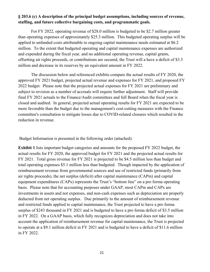#### **§ 203.6 (c) A description of the principal budget assumptions, including sources of revenue, staffing, and future collective bargaining costs, and programmatic goals.**

For FY 2022, operating revenue of \$28.0 million is budgeted to be \$2.7 million greater than operating expenses of approximately \$25.3 million. This budgeted operating surplus will be applied to unfunded costs attributable to ongoing capital maintenance needs estimated at \$ 6.2 million. To the extent that budgeted operating and capital maintenance expenses are authorized and expended during the fiscal year, and no additional operating revenue, capital grants, offsetting air rights proceeds, or contributions are secured, the Trust will a have a deficit of \$ 3.5 million and decrease in its reserves by an equivalent amount in FY 202 2.

The discussion below and referenced exhibits compare the actual results of FY 20 2 0, the approved FY 2021 budget, projected actual revenue and expenses for FY 2021, and proposed FY 2022 budget. Please note that the projected actual expenses for FY 2021 are preliminary and subject to revision as a number of accruals will require further adjustment. Staff will provide final FY 2021 actuals to the Finance/Audit committees and full Board when the fiscal year is closed and audited. In general, projected actual operating results for FY 2021 are expected to be more favorable than the budget due to the management's cost-cutting measures with the Finance committee's consultation to mitigate losses due to COVID-related closures which resulted in the reduction in revenue.

Budget Information is presented in the following order (attached):

**Exhibit 1** lists important budget categories and amounts for the proposed FY 202 2 budget, the actual results for FY 2020, the approved budget for FY 2021 and the projected actual results for FY 2021. Total gross revenue for FY 2021 is projected to be \$4. 5 million less than budget and total operating expenses \$ 5.1 million less than budgeted. Though impacted by the application of reimbursement revenue from governmental sources and use of restricted funds (primarily from air rights proceeds), the net surplus (deficit) after capital maintenance (CAPm) and capital equipment expenditures (CAPx) represents the Trust's "bottom line" on a pro forma operating basis. Please note that for accounting purposes under GAAP, most CAPm and CAPx are investments in assets and not expenses, and non-cash expenses such as depreciation are properly deducted from net operating surplus. Due primarily to the amount of reimbursement revenue and restricted funds applied to capital maintenance, the Trust projected to have a pro forma surplus of \$243 thousand in FY 2021 and is budgeted to have a pro forma deficit of \$ 3.5 million in FY 2022. On a GAAP basis, which fully recognizes depreciation and does not take into account the application of reimbursement revenue for capital maintenance, the Trust is projected to operate at a \$9.1 million deficit in FY 2021 and is budgeted to have a deficit of \$11.6 million in FY 2022.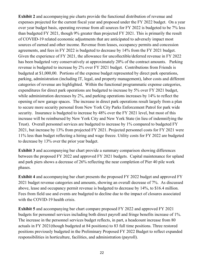**Exhibit 2** and accompanying pie charts provide the functional distribution of revenue and expenses projected for the current fiscal year and proposed under the FY 2022 budget. On a year over year budget basis, operating revenue from all sources for FY 2022 is budgeted to be 7% less than budgeted FY 2021, though 9% greater than projected FY 2021. This is primarily the result of COVIID-19 related economic adjustments that are anticipated to adversely impact most sources of earned and other income. Revenue from leases, occupancy permits and concession agreements, and fees in FY 2022 is budgeted to decrease by 14% from the FY 2021 budget. Given the experience of FY 2021, the allowance for uncollectible/deferred revenue in FY 2022 has been budgeted very conservatively at approximately 20% of the contract amounts. Parking revenue is budgeted to increase by 2% over FY 2021 budget. Contributions from Friends is budgeted at \$1,000,00. Portions of the expense budget represented by direct park operations, parking, administration (including IT, legal, and property management), labor costs and different categories of revenue are highlighted. Within the functional programmatic expense categories, expenditures for direct park operations are budgeted to increase by 5% over FY 2021 budget, while administration decreases by 2%, and parking operations increases by 14% to reflect the opening of new garage spaces. The increase in direct park operations result largely from a plan to secure more security personal from New York City Parks Enforcement Patrol for park wide security. Insurance is budgeted to increase by 48% over the FY 2021 level, but most of this increase will be reimbursed by New York City and New York State (in lieu of indemnifying the Trust). Overall personnel services are budgeted to increase by 1% compared to budgeted FY 2021, but increase by 13% from projected FY 2021. Projected personnel costs for FY 2021 were 11% less than budget reflecting a hiring and wage freeze. Utility costs for FY 2022 are budgeted to decrease by 13% over the prior year budget.

**Exhibit 3** and accompanying bar chart provide a summary comparison showing differences between the proposed FY 2022 and approved FY 2021 budgets. Capital maintenance for upland and park piers shows a decrease of 26% reflecting the near completion of Pier 40 pile work phases.

**Exhibit 4** and accompanying bar chart presents the proposed FY 2022 budget and approved FY 2021 budget revenue categories and amounts, showing an overall decrease of 7%. As discussed above, lease and occupancy permit revenue is budgeted to decrease by 14%, to \$16.4 million. Fees from field use and events are budgeted to decline due to the impact of closures associated with the COVID-19 health crisis.

**Exhibit 5** and accompanying bar chart compare proposed FY 2022 and approved FY 2021 budgets for personnel services including both direct payroll and fringe benefits increase of 1%. The increase in the personnel services budget reflects, in part, a headcount increase from 80 actuals in FY 2021(though budgeted at 84 positions) to 83 full time positions. Three restored positions previously budgeted in the Preliminary Proposed FY 2022 Budget to reflect expanded responsibilities in horticulture, facilities, and administration (payroll).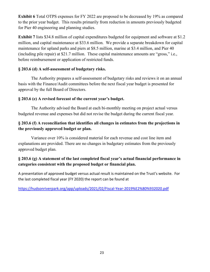**Exhibit 6** Total OTPS expenses for FY 2022 are proposed to be decreased by 19% as compared to the prior year budget. This results primarily from reduction in amounts previously budgeted for Pier 40 engineering and planning studies.

**Exhibit 7** lists \$34.8 million of capital expenditures budgeted for equipment and software at \$1.2 million, and capital maintenance at \$33.6 million. We provide a separate breakdown for capital maintenance for upland parks and piers at \$8.5 million, marine at \$3.4 million, and Pier 40 (including pile repair) at \$21.7 million. These capital maintenance amounts are "gross," i.e., before reimbursement or application of restricted funds.

#### **§ 203.6 (d) A self-assessment of budgetary risks.**

The Authority prepares a self-assessment of budgetary risks and reviews it on an annual basis with the Finance/Audit committees before the next fiscal year budget is presented for approval by the full Board of Directors.

#### **§ 203.6 (e) A revised forecast of the current year's budget.**

The Authority advised the Board at each bi-monthly meeting on project actual versus budgeted revenue and expenses but did not revise the budget during the current fiscal year.

#### **§ 203.6 (f) A reconciliation that identifies all changes in estimates from the projections in the previously approved budget or plan.**

Variance over 10% is considered material for each revenue and cost line item and explanations are provided. There are no changes in budgetary estimates from the previously approved budget plan.

#### **§ 203.6 (g) A statement of the last completed fiscal year's actual financial performance in categories consistent with the proposed budget or financial plan.**

A presentation of approved budget versus actual result is maintained on the Trust's website. For the last completed fiscal year (FY 2020) the report can be found at

https://hudsonriverpark.org/app/uploads/2021/02/Fiscal-Year-2019%E2%80%932020.pdf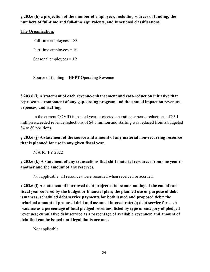**§ 203.6 (h) a projection of the number of employees, including sources of funding, the numbers of full-time and full-time equivalents, and functional classifications.**

#### **The Organization:**

Full-time employees  $= 83$ 

Part-time employees  $= 10$ 

Seasonal employees = 19

Source of funding = HRPT Operating Revenue

#### **§ 203.6 (i) A statement of each revenue-enhancement and cost-reduction initiative that represents a component of any gap-closing program and the annual impact on revenues, expenses, and staffing.**

In the current COVID impacted year, projected operating expense reductions of \$5.1 million exceeded revenue reductions of \$4.5 million and staffing was reduced from a budgeted 84 to 80 positions.

**§ 203.6 (j) A statement of the source and amount of any material non-recurring resource that is planned for use in any given fiscal year.**

N/A for FY 2022

**§ 203.6 (k) A statement of any transactions that shift material resources from one year to another and the amount of any reserves.**

Not applicable; all resources were recorded when received or accrued.

**§ 203.6 (l) A statement of borrowed debt projected to be outstanding at the end of each fiscal year covered by the budget or financial plan; the planned use or purpose of debt issuances; scheduled debt service payments for both issued and proposed debt; the principal amount of proposed debt and assumed interest rate(s); debt service for each issuance as a percentage of total pledged revenues, listed by type or category of pledged revenues; cumulative debt service as a percentage of available revenues; and amount of debt that can be issued until legal limits are met.**

Not applicable